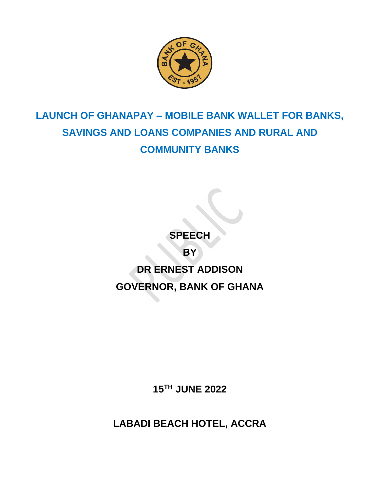

## **LAUNCH OF GHANAPAY – MOBILE BANK WALLET FOR BANKS, SAVINGS AND LOANS COMPANIES AND RURAL AND COMMUNITY BANKS**

**SPEECH BY DR ERNEST ADDISON GOVERNOR, BANK OF GHANA**

**15TH JUNE 2022**

**LABADI BEACH HOTEL, ACCRA**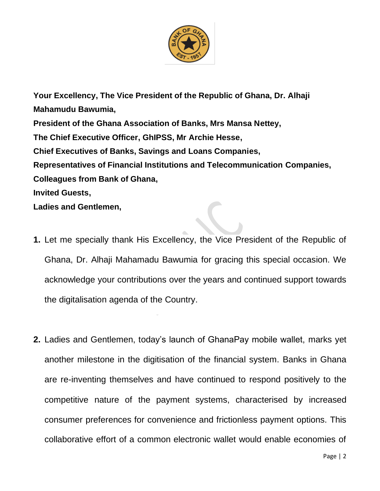

**Your Excellency, The Vice President of the Republic of Ghana, Dr. Alhaji Mahamudu Bawumia, President of the Ghana Association of Banks, Mrs Mansa Nettey, The Chief Executive Officer, GhIPSS, Mr Archie Hesse, Chief Executives of Banks, Savings and Loans Companies, Representatives of Financial Institutions and Telecommunication Companies, Colleagues from Bank of Ghana, Invited Guests, Ladies and Gentlemen,**

- **1.** Let me specially thank His Excellency, the Vice President of the Republic of Ghana, Dr. Alhaji Mahamadu Bawumia for gracing this special occasion. We acknowledge your contributions over the years and continued support towards the digitalisation agenda of the Country.
- **2.** Ladies and Gentlemen, today's launch of GhanaPay mobile wallet, marks yet another milestone in the digitisation of the financial system. Banks in Ghana are re-inventing themselves and have continued to respond positively to the competitive nature of the payment systems, characterised by increased consumer preferences for convenience and frictionless payment options. This collaborative effort of a common electronic wallet would enable economies of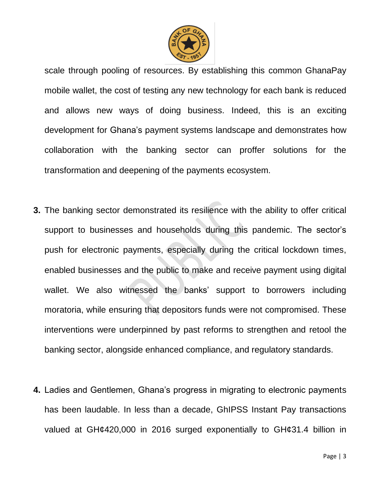

scale through pooling of resources. By establishing this common GhanaPay mobile wallet, the cost of testing any new technology for each bank is reduced and allows new ways of doing business. Indeed, this is an exciting development for Ghana's payment systems landscape and demonstrates how collaboration with the banking sector can proffer solutions for the transformation and deepening of the payments ecosystem.

- **3.** The banking sector demonstrated its resilience with the ability to offer critical support to businesses and households during this pandemic. The sector's push for electronic payments, especially during the critical lockdown times, enabled businesses and the public to make and receive payment using digital wallet. We also witnessed the banks' support to borrowers including moratoria, while ensuring that depositors funds were not compromised. These interventions were underpinned by past reforms to strengthen and retool the banking sector, alongside enhanced compliance, and regulatory standards.
- **4.** Ladies and Gentlemen, Ghana's progress in migrating to electronic payments has been laudable. In less than a decade, GhIPSS Instant Pay transactions valued at GH¢420,000 in 2016 surged exponentially to GH¢31.4 billion in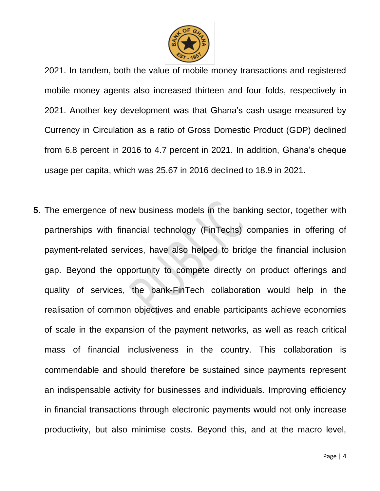

2021. In tandem, both the value of mobile money transactions and registered mobile money agents also increased thirteen and four folds, respectively in 2021. Another key development was that Ghana's cash usage measured by Currency in Circulation as a ratio of Gross Domestic Product (GDP) declined from 6.8 percent in 2016 to 4.7 percent in 2021. In addition, Ghana's cheque usage per capita, which was 25.67 in 2016 declined to 18.9 in 2021.

**5.** The emergence of new business models in the banking sector, together with partnerships with financial technology (FinTechs) companies in offering of payment-related services, have also helped to bridge the financial inclusion gap. Beyond the opportunity to compete directly on product offerings and quality of services, the bank-FinTech collaboration would help in the realisation of common objectives and enable participants achieve economies of scale in the expansion of the payment networks, as well as reach critical mass of financial inclusiveness in the country. This collaboration is commendable and should therefore be sustained since payments represent an indispensable activity for businesses and individuals. Improving efficiency in financial transactions through electronic payments would not only increase productivity, but also minimise costs. Beyond this, and at the macro level,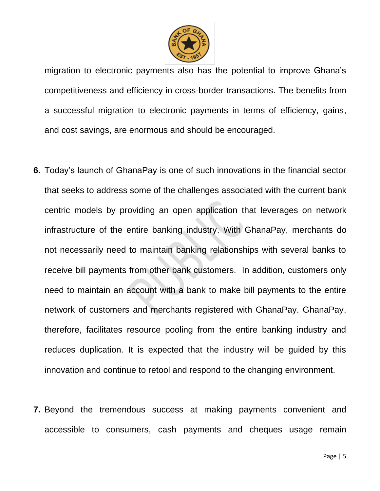

migration to electronic payments also has the potential to improve Ghana's competitiveness and efficiency in cross-border transactions. The benefits from a successful migration to electronic payments in terms of efficiency, gains, and cost savings, are enormous and should be encouraged.

- **6.** Today's launch of GhanaPay is one of such innovations in the financial sector that seeks to address some of the challenges associated with the current bank centric models by providing an open application that leverages on network infrastructure of the entire banking industry. With GhanaPay, merchants do not necessarily need to maintain banking relationships with several banks to receive bill payments from other bank customers. In addition, customers only need to maintain an account with a bank to make bill payments to the entire network of customers and merchants registered with GhanaPay. GhanaPay, therefore, facilitates resource pooling from the entire banking industry and reduces duplication. It is expected that the industry will be guided by this innovation and continue to retool and respond to the changing environment.
- **7.** Beyond the tremendous success at making payments convenient and accessible to consumers, cash payments and cheques usage remain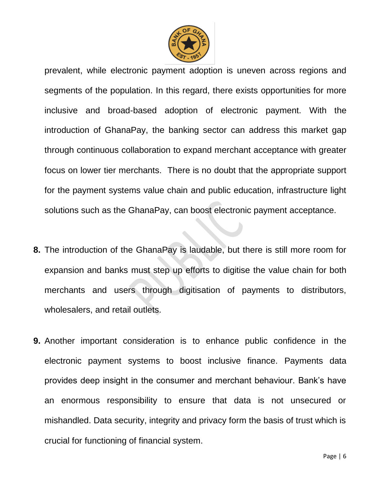

prevalent, while electronic payment adoption is uneven across regions and segments of the population. In this regard, there exists opportunities for more inclusive and broad-based adoption of electronic payment. With the introduction of GhanaPay, the banking sector can address this market gap through continuous collaboration to expand merchant acceptance with greater focus on lower tier merchants. There is no doubt that the appropriate support for the payment systems value chain and public education, infrastructure light solutions such as the GhanaPay, can boost electronic payment acceptance.

- **8.** The introduction of the GhanaPay is laudable, but there is still more room for expansion and banks must step up efforts to digitise the value chain for both merchants and users through digitisation of payments to distributors, wholesalers, and retail outlets.
- **9.** Another important consideration is to enhance public confidence in the electronic payment systems to boost inclusive finance. Payments data provides deep insight in the consumer and merchant behaviour. Bank's have an enormous responsibility to ensure that data is not unsecured or mishandled. Data security, integrity and privacy form the basis of trust which is crucial for functioning of financial system.